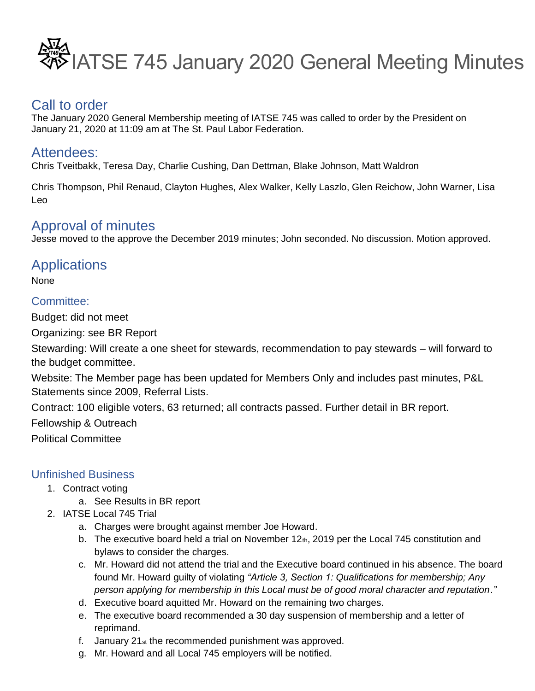

## Call to order

The January 2020 General Membership meeting of IATSE 745 was called to order by the President on January 21, 2020 at 11:09 am at The St. Paul Labor Federation.

# Attendees:

Chris Tveitbakk, Teresa Day, Charlie Cushing, Dan Dettman, Blake Johnson, Matt Waldron

Chris Thompson, Phil Renaud, Clayton Hughes, Alex Walker, Kelly Laszlo, Glen Reichow, John Warner, Lisa Leo

# Approval of minutes

Jesse moved to the approve the December 2019 minutes; John seconded. No discussion. Motion approved.

# **Applications**

None

## Committee:

Budget: did not meet

Organizing: see BR Report

Stewarding: Will create a one sheet for stewards, recommendation to pay stewards – will forward to the budget committee.

Website: The Member page has been updated for Members Only and includes past minutes, P&L Statements since 2009, Referral Lists.

Contract: 100 eligible voters, 63 returned; all contracts passed. Further detail in BR report.

Fellowship & Outreach

Political Committee

## Unfinished Business

- 1. Contract voting
	- a. See Results in BR report
- 2. IATSE Local 745 Trial
	- a. Charges were brought against member Joe Howard.
	- b. The executive board held a trial on November 12th, 2019 per the Local 745 constitution and bylaws to consider the charges.
	- c. Mr. Howard did not attend the trial and the Executive board continued in his absence. The board found Mr. Howard guilty of violating *"Article 3, Section 1: Qualifications for membership; Any person applying for membership in this Local must be of good moral character and reputation."*
	- d. Executive board aquitted Mr. Howard on the remaining two charges.
	- e. The executive board recommended a 30 day suspension of membership and a letter of reprimand.
	- f. January 21st the recommended punishment was approved.
	- g. Mr. Howard and all Local 745 employers will be notified.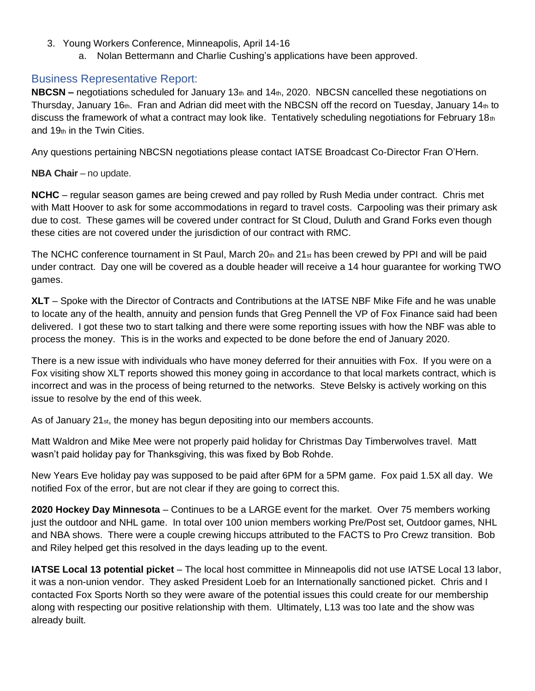- 3. Young Workers Conference, Minneapolis, April 14-16
	- a. Nolan Bettermann and Charlie Cushing's applications have been approved.

## Business Representative Report:

**NBCSN –** negotiations scheduled for January 13th and 14th, 2020. NBCSN cancelled these negotiations on Thursday, January 16 $_{th}$ . Fran and Adrian did meet with the NBCSN off the record on Tuesday, January 14 $_{th}$  to discuss the framework of what a contract may look like. Tentatively scheduling negotiations for February 18th and 19th in the Twin Cities.

Any questions pertaining NBCSN negotiations please contact IATSE Broadcast Co-Director Fran O'Hern.

**NBA Chair** – no update.

**NCHC** – regular season games are being crewed and pay rolled by Rush Media under contract. Chris met with Matt Hoover to ask for some accommodations in regard to travel costs. Carpooling was their primary ask due to cost. These games will be covered under contract for St Cloud, Duluth and Grand Forks even though these cities are not covered under the jurisdiction of our contract with RMC.

The NCHC conference tournament in St Paul, March 20th and 21st has been crewed by PPI and will be paid under contract. Day one will be covered as a double header will receive a 14 hour guarantee for working TWO games.

**XLT** – Spoke with the Director of Contracts and Contributions at the IATSE NBF Mike Fife and he was unable to locate any of the health, annuity and pension funds that Greg Pennell the VP of Fox Finance said had been delivered. I got these two to start talking and there were some reporting issues with how the NBF was able to process the money. This is in the works and expected to be done before the end of January 2020.

There is a new issue with individuals who have money deferred for their annuities with Fox. If you were on a Fox visiting show XLT reports showed this money going in accordance to that local markets contract, which is incorrect and was in the process of being returned to the networks. Steve Belsky is actively working on this issue to resolve by the end of this week.

As of January 21st, the money has begun depositing into our members accounts.

Matt Waldron and Mike Mee were not properly paid holiday for Christmas Day Timberwolves travel. Matt wasn't paid holiday pay for Thanksgiving, this was fixed by Bob Rohde.

New Years Eve holiday pay was supposed to be paid after 6PM for a 5PM game. Fox paid 1.5X all day. We notified Fox of the error, but are not clear if they are going to correct this.

**2020 Hockey Day Minnesota** – Continues to be a LARGE event for the market. Over 75 members working just the outdoor and NHL game. In total over 100 union members working Pre/Post set, Outdoor games, NHL and NBA shows. There were a couple crewing hiccups attributed to the FACTS to Pro Crewz transition. Bob and Riley helped get this resolved in the days leading up to the event.

**IATSE Local 13 potential picket** – The local host committee in Minneapolis did not use IATSE Local 13 labor, it was a non-union vendor. They asked President Loeb for an Internationally sanctioned picket. Chris and I contacted Fox Sports North so they were aware of the potential issues this could create for our membership along with respecting our positive relationship with them. Ultimately, L13 was too late and the show was already built.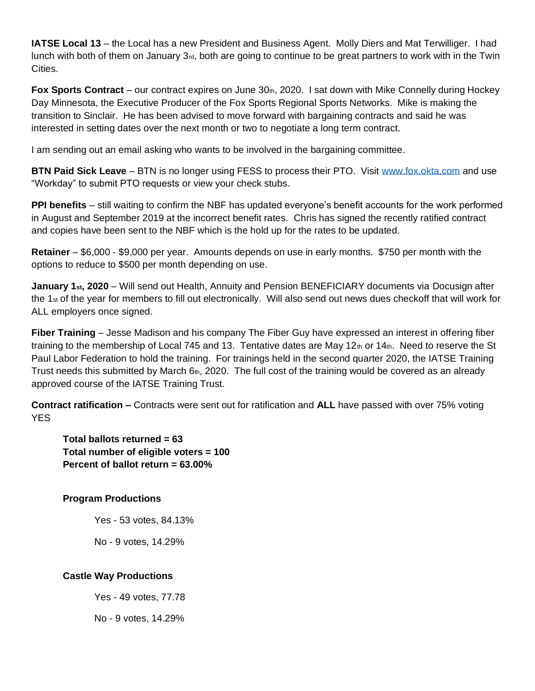**IATSE Local 13** – the Local has a new President and Business Agent. Molly Diers and Mat Terwilliger. I had lunch with both of them on January 3<sup>rd</sup>, both are going to continue to be great partners to work with in the Twin Cities.

**Fox Sports Contract** – our contract expires on June 30th, 2020. I sat down with Mike Connelly during Hockey Day Minnesota, the Executive Producer of the Fox Sports Regional Sports Networks. Mike is making the transition to Sinclair. He has been advised to move forward with bargaining contracts and said he was interested in setting dates over the next month or two to negotiate a long term contract.

I am sending out an email asking who wants to be involved in the bargaining committee.

**BTN Paid Sick Leave** – BTN is no longer using FESS to process their PTO. Visit www.fox.okta.com and use "Workday" to submit PTO requests or view your check stubs.

**PPI benefits** – still waiting to confirm the NBF has updated everyone's benefit accounts for the work performed in August and September 2019 at the incorrect benefit rates. Chris has signed the recently ratified contract and copies have been sent to the NBF which is the hold up for the rates to be updated.

**Retainer** – \$6,000 - \$9,000 per year. Amounts depends on use in early months. \$750 per month with the options to reduce to \$500 per month depending on use.

**January 1st, 2020** – Will send out Health, Annuity and Pension BENEFICIARY documents via Docusign after the 1st of the year for members to fill out electronically. Will also send out news dues checkoff that will work for ALL employers once signed.

**Fiber Training** – Jesse Madison and his company The Fiber Guy have expressed an interest in offering fiber training to the membership of Local 745 and 13. Tentative dates are May 12th or 14th. Need to reserve the St Paul Labor Federation to hold the training. For trainings held in the second quarter 2020, the IATSE Training Trust needs this submitted by March  $6<sub>th</sub>$ , 2020. The full cost of the training would be covered as an already approved course of the IATSE Training Trust.

**Contract ratification –** Contracts were sent out for ratification and **ALL** have passed with over 75% voting YES

**Total ballots returned = 63 Total number of eligible voters = 100 Percent of ballot return = 63.00%**

**Program Productions**

Yes - 53 votes, 84.13%

No - 9 votes, 14.29%

### **Castle Way Productions**

Yes - 49 votes, 77.78

No - 9 votes, 14.29%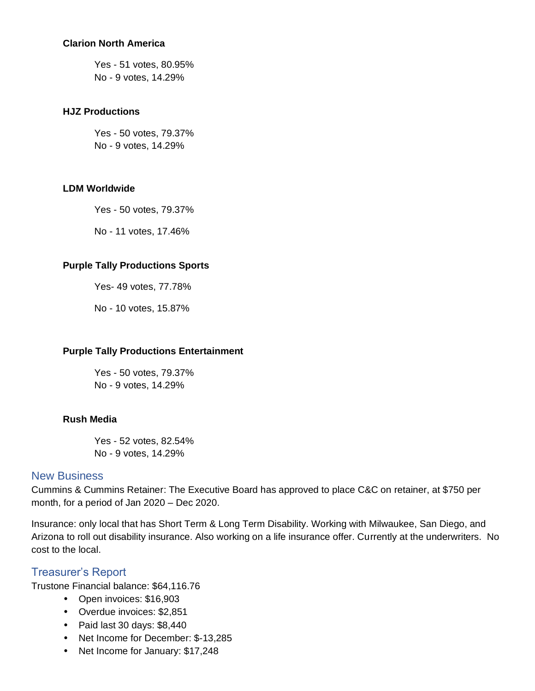#### **Clarion North America**

Yes - 51 votes, 80.95% No - 9 votes, 14.29%

#### **HJZ Productions**

Yes - 50 votes, 79.37% No - 9 votes, 14.29%

#### **LDM Worldwide**

Yes - 50 votes, 79.37%

No - 11 votes, 17.46%

#### **Purple Tally Productions Sports**

Yes- 49 votes, 77.78%

No - 10 votes, 15.87%

#### **Purple Tally Productions Entertainment**

Yes - 50 votes, 79.37% No - 9 votes, 14.29%

#### **Rush Media**

Yes - 52 votes, 82.54% No - 9 votes, 14.29%

#### New Business

Cummins & Cummins Retainer: The Executive Board has approved to place C&C on retainer, at \$750 per month, for a period of Jan 2020 – Dec 2020.

Insurance: only local that has Short Term & Long Term Disability. Working with Milwaukee, San Diego, and Arizona to roll out disability insurance. Also working on a life insurance offer. Currently at the underwriters. No cost to the local.

## Treasurer's Report

Trustone Financial balance: \$64,116.76

- Open invoices: \$16,903
- Overdue invoices: \$2,851
- Paid last 30 days: \$8,440
- Net Income for December: \$-13,285
- Net Income for January: \$17,248